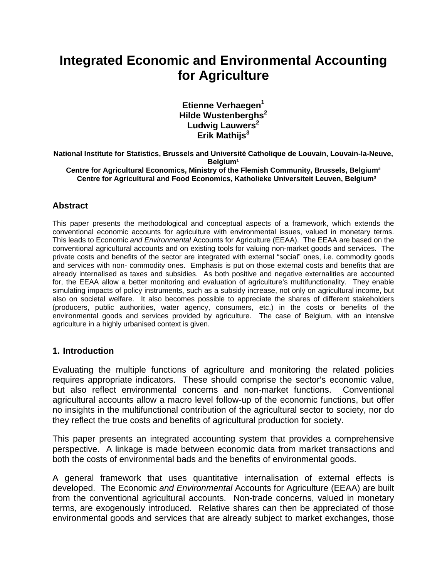# **Integrated Economic and Environmental Accounting for Agriculture**

**Etienne Verhaegen<sup>1</sup> Hilde Wustenberghs<sup>2</sup> Ludwig Lauwers<sup>2</sup>** Erik Mathijs<sup>3</sup>

**National Institute for Statistics, Brussels and Université Catholique de Louvain, Louvain-la-Neuve, Belgium<sup>1</sup> Centre for Agricultural Economics, Ministry of the Flemish Community, Brussels, Belgium² Centre for Agricultural and Food Economics, Katholieke Universiteit Leuven, Belgium³** 

#### **Abstract**

This paper presents the methodological and conceptual aspects of a framework, which extends the conventional economic accounts for agriculture with environmental issues, valued in monetary terms. This leads to Economic *and Environmental* Accounts for Agriculture (EEAA). The EEAA are based on the conventional agricultural accounts and on existing tools for valuing non-market goods and services. The private costs and benefits of the sector are integrated with external "social" ones, i.e. commodity goods and services with non- commodity ones. Emphasis is put on those external costs and benefits that are already internalised as taxes and subsidies. As both positive and negative externalities are accounted for, the EEAA allow a better monitoring and evaluation of agriculture's multifunctionality. They enable simulating impacts of policy instruments, such as a subsidy increase, not only on agricultural income, but also on societal welfare. It also becomes possible to appreciate the shares of different stakeholders (producers, public authorities, water agency, consumers, etc.) in the costs or benefits of the environmental goods and services provided by agriculture. The case of Belgium, with an intensive agriculture in a highly urbanised context is given.

#### **1. Introduction**

Evaluating the multiple functions of agriculture and monitoring the related policies requires appropriate indicators. These should comprise the sector's economic value, but also reflect environmental concerns and non-market functions. Conventional agricultural accounts allow a macro level follow-up of the economic functions, but offer no insights in the multifunctional contribution of the agricultural sector to society, nor do they reflect the true costs and benefits of agricultural production for society.

This paper presents an integrated accounting system that provides a comprehensive perspective. A linkage is made between economic data from market transactions and both the costs of environmental bads and the benefits of environmental goods.

A general framework that uses quantitative internalisation of external effects is developed. The Economic *and Environmental* Accounts for Agriculture (EEAA) are built from the conventional agricultural accounts. Non-trade concerns, valued in monetary terms, are exogenously introduced. Relative shares can then be appreciated of those environmental goods and services that are already subject to market exchanges, those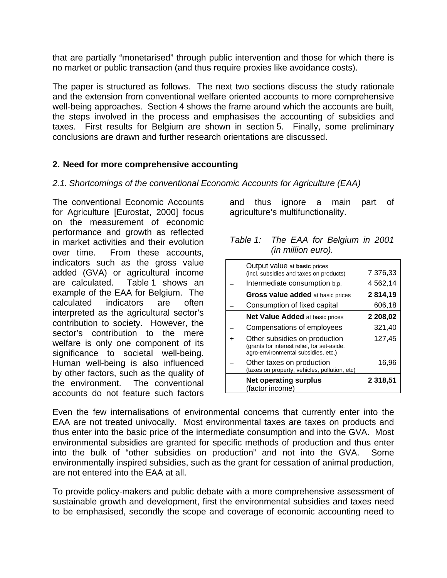that are partially "monetarised" through public intervention and those for which there is no market or public transaction (and thus require proxies like avoidance costs).

The paper is structured as follows. The next two sections discuss the study rationale and the extension from conventional welfare oriented accounts to more comprehensive well-being approaches. Section 4 shows the frame around which the accounts are built, the steps involved in the process and emphasises the accounting of subsidies and taxes. First results for Belgium are shown in section 5. Finally, some preliminary conclusions are drawn and further research orientations are discussed.

#### **2. Need for more comprehensive accounting**

#### *2.1. Shortcomings of the conventional Economic Accounts for Agriculture (EAA)*

The conventional Economic Accounts for Agriculture [Eurostat, 2000] focus on the measurement of economic performance and growth as reflected in market activities and their evolution over time. From these accounts, indicators such as the gross value added (GVA) or agricultural income are calculated. Table 1 shows an example of the EAA for Belgium. The calculated indicators are often interpreted as the agricultural sector's contribution to society. However, the sector's contribution to the mere welfare is only one component of its significance to societal well-being. Human well-being is also influenced by other factors, such as the quality of the environment. The conventional accounts do not feature such factors

and thus ignore a main part of agriculture's multifunctionality.

| Table 1: The EAA for Belgium in 2001 |  |  |  |  |  |  |
|--------------------------------------|--|--|--|--|--|--|
| (in million euro).                   |  |  |  |  |  |  |

| Output value at basic prices<br>(incl. subsidies and taxes on products)                                             | 7 376,33 |
|---------------------------------------------------------------------------------------------------------------------|----------|
| Intermediate consumption b.p.                                                                                       | 4 562,14 |
| Gross value added at basic prices                                                                                   | 2814,19  |
| Consumption of fixed capital                                                                                        | 606,18   |
| Net Value Added at basic prices                                                                                     | 2 208,02 |
| Compensations of employees                                                                                          | 321,40   |
| Other subsidies on production<br>(grants for interest relief, for set-aside,<br>agro-environmental subsidies, etc.) | 127,45   |
| Other taxes on production<br>(taxes on property, vehicles, pollution, etc)                                          | 16,96    |
| <b>Net operating surplus</b><br>(factor income)                                                                     | 2 318,51 |

Even the few internalisations of environmental concerns that currently enter into the EAA are not treated univocally. Most environmental taxes are taxes on products and thus enter into the basic price of the intermediate consumption and into the GVA. Most environmental subsidies are granted for specific methods of production and thus enter into the bulk of "other subsidies on production" and not into the GVA. Some environmentally inspired subsidies, such as the grant for cessation of animal production, are not entered into the EAA at all.

To provide policy-makers and public debate with a more comprehensive assessment of sustainable growth and development, first the environmental subsidies and taxes need to be emphasised, secondly the scope and coverage of economic accounting need to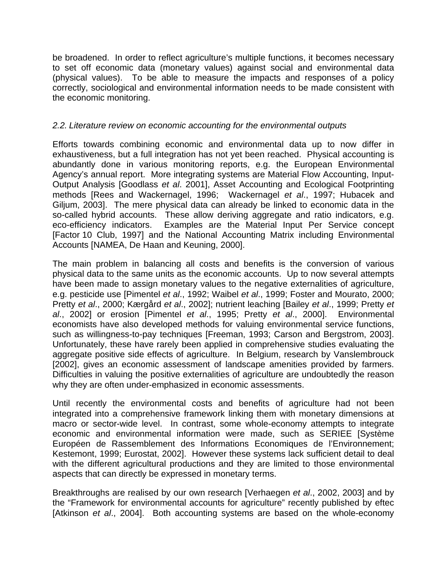be broadened. In order to reflect agriculture's multiple functions, it becomes necessary to set off economic data (monetary values) against social and environmental data (physical values). To be able to measure the impacts and responses of a policy correctly, sociological and environmental information needs to be made consistent with the economic monitoring.

#### *2.2. Literature review on economic accounting for the environmental outputs*

Efforts towards combining economic and environmental data up to now differ in exhaustiveness, but a full integration has not yet been reached. Physical accounting is abundantly done in various monitoring reports, e.g. the European Environmental Agency's annual report. More integrating systems are Material Flow Accounting, Input-Output Analysis [Goodlass *et al*. 2001], Asset Accounting and Ecological Footprinting methods [Rees and Wackernagel, 1996; Wackernagel *et al*., 1997; Hubacek and Giljum, 2003]. The mere physical data can already be linked to economic data in the so-called hybrid accounts. These allow deriving aggregate and ratio indicators, e.g. eco-efficiency indicators. Examples are the Material Input Per Service concept [Factor 10 Club, 1997] and the National Accounting Matrix including Environmental Accounts [NAMEA, De Haan and Keuning, 2000].

The main problem in balancing all costs and benefits is the conversion of various physical data to the same units as the economic accounts. Up to now several attempts have been made to assign monetary values to the negative externalities of agriculture, e.g. pesticide use [Pimentel *et al*., 1992; Waibel *et al*., 1999; Foster and Mourato, 2000; Pretty *et al*., 2000; Kærgård *et al*., 2002]; nutrient leaching [Bailey *et al*., 1999; Pretty *et al*., 2002] or erosion [Pimentel *et al*., 1995; Pretty *et al*., 2000]. Environmental economists have also developed methods for valuing environmental service functions, such as willingness-to-pay techniques [Freeman, 1993; Carson and Bergstrom, 2003]. Unfortunately, these have rarely been applied in comprehensive studies evaluating the aggregate positive side effects of agriculture. In Belgium, research by Vanslembrouck [2002], gives an economic assessment of landscape amenities provided by farmers. Difficulties in valuing the positive externalities of agriculture are undoubtedly the reason why they are often under-emphasized in economic assessments.

Until recently the environmental costs and benefits of agriculture had not been integrated into a comprehensive framework linking them with monetary dimensions at macro or sector-wide level. In contrast, some whole-economy attempts to integrate economic and environmental information were made, such as SERIEE [Système Européen de Rassemblement des Informations Economiques de l'Environnement; Kestemont, 1999; Eurostat, 2002]. However these systems lack sufficient detail to deal with the different agricultural productions and they are limited to those environmental aspects that can directly be expressed in monetary terms.

Breakthroughs are realised by our own research [Verhaegen *et al*., 2002, 2003] and by the "Framework for environmental accounts for agriculture" recently published by eftec [Atkinson *et al*., 2004]. Both accounting systems are based on the whole-economy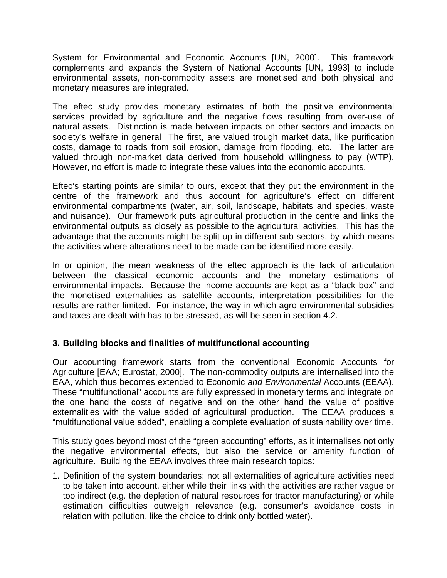System for Environmental and Economic Accounts [UN, 2000]. This framework complements and expands the System of National Accounts [UN, 1993] to include environmental assets, non-commodity assets are monetised and both physical and monetary measures are integrated.

The eftec study provides monetary estimates of both the positive environmental services provided by agriculture and the negative flows resulting from over-use of natural assets. Distinction is made between impacts on other sectors and impacts on society's welfare in general The first, are valued trough market data, like purification costs, damage to roads from soil erosion, damage from flooding, etc. The latter are valued through non-market data derived from household willingness to pay (WTP). However, no effort is made to integrate these values into the economic accounts.

Eftec's starting points are similar to ours, except that they put the environment in the centre of the framework and thus account for agriculture's effect on different environmental compartments (water, air, soil, landscape, habitats and species, waste and nuisance). Our framework puts agricultural production in the centre and links the environmental outputs as closely as possible to the agricultural activities. This has the advantage that the accounts might be split up in different sub-sectors, by which means the activities where alterations need to be made can be identified more easily.

In or opinion, the mean weakness of the eftec approach is the lack of articulation between the classical economic accounts and the monetary estimations of environmental impacts. Because the income accounts are kept as a "black box" and the monetised externalities as satellite accounts, interpretation possibilities for the results are rather limited. For instance, the way in which agro-environmental subsidies and taxes are dealt with has to be stressed, as will be seen in section 4.2.

### **3. Building blocks and finalities of multifunctional accounting**

Our accounting framework starts from the conventional Economic Accounts for Agriculture [EAA; Eurostat, 2000]. The non-commodity outputs are internalised into the EAA, which thus becomes extended to Economic *and Environmental* Accounts (EEAA). These "multifunctional" accounts are fully expressed in monetary terms and integrate on the one hand the costs of negative and on the other hand the value of positive externalities with the value added of agricultural production. The EEAA produces a "multifunctional value added", enabling a complete evaluation of sustainability over time.

This study goes beyond most of the "green accounting" efforts, as it internalises not only the negative environmental effects, but also the service or amenity function of agriculture. Building the EEAA involves three main research topics:

1. Definition of the system boundaries: not all externalities of agriculture activities need to be taken into account, either while their links with the activities are rather vague or too indirect (e.g. the depletion of natural resources for tractor manufacturing) or while estimation difficulties outweigh relevance (e.g. consumer's avoidance costs in relation with pollution, like the choice to drink only bottled water).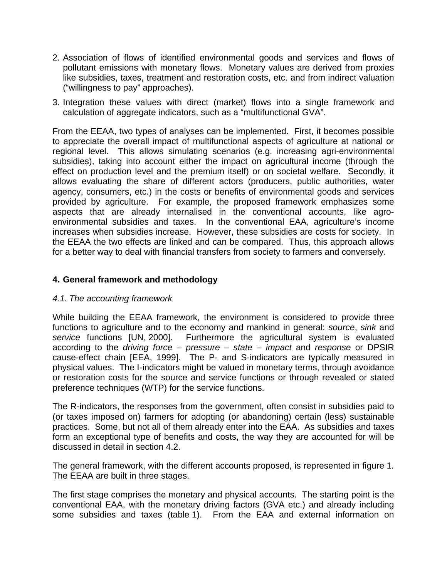- 2. Association of flows of identified environmental goods and services and flows of pollutant emissions with monetary flows. Monetary values are derived from proxies like subsidies, taxes, treatment and restoration costs, etc. and from indirect valuation ("willingness to pay" approaches).
- 3. Integration these values with direct (market) flows into a single framework and calculation of aggregate indicators, such as a "multifunctional GVA".

From the EEAA, two types of analyses can be implemented. First, it becomes possible to appreciate the overall impact of multifunctional aspects of agriculture at national or regional level. This allows simulating scenarios (e.g. increasing agri-environmental subsidies), taking into account either the impact on agricultural income (through the effect on production level and the premium itself) or on societal welfare. Secondly, it allows evaluating the share of different actors (producers, public authorities, water agency, consumers, etc.) in the costs or benefits of environmental goods and services provided by agriculture. For example, the proposed framework emphasizes some aspects that are already internalised in the conventional accounts, like agroenvironmental subsidies and taxes. In the conventional EAA, agriculture's income increases when subsidies increase. However, these subsidies are costs for society. In the EEAA the two effects are linked and can be compared. Thus, this approach allows for a better way to deal with financial transfers from society to farmers and conversely.

#### **4. General framework and methodology**

#### *4.1. The accounting framework*

While building the EEAA framework, the environment is considered to provide three functions to agriculture and to the economy and mankind in general: *source*, *sink* and *service* functions [UN, 2000]. Furthermore the agricultural system is evaluated according to the *driving force – pressure – state – impact* and *response* or DPSIR cause-effect chain [EEA, 1999]. The P- and S-indicators are typically measured in physical values. The I-indicators might be valued in monetary terms, through avoidance or restoration costs for the source and service functions or through revealed or stated preference techniques (WTP) for the service functions.

The R-indicators, the responses from the government, often consist in subsidies paid to (or taxes imposed on) farmers for adopting (or abandoning) certain (less) sustainable practices. Some, but not all of them already enter into the EAA. As subsidies and taxes form an exceptional type of benefits and costs, the way they are accounted for will be discussed in detail in section 4.2.

The general framework, with the different accounts proposed, is represented in figure 1. The EEAA are built in three stages.

The first stage comprises the monetary and physical accounts. The starting point is the conventional EAA, with the monetary driving factors (GVA etc.) and already including some subsidies and taxes (table 1). From the EAA and external information on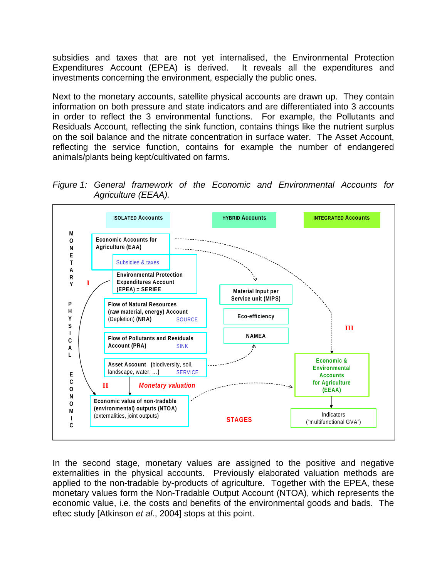subsidies and taxes that are not yet internalised, the Environmental Protection Expenditures Account (EPEA) is derived. It reveals all the expenditures and investments concerning the environment, especially the public ones.

Next to the monetary accounts, satellite physical accounts are drawn up. They contain information on both pressure and state indicators and are differentiated into 3 accounts in order to reflect the 3 environmental functions. For example, the Pollutants and Residuals Account, reflecting the sink function, contains things like the nutrient surplus on the soil balance and the nitrate concentration in surface water. The Asset Account, reflecting the service function, contains for example the number of endangered animals/plants being kept/cultivated on farms.





In the second stage, monetary values are assigned to the positive and negative externalities in the physical accounts. Previously elaborated valuation methods are applied to the non-tradable by-products of agriculture. Together with the EPEA, these monetary values form the Non-Tradable Output Account (NTOA), which represents the economic value, i.e. the costs and benefits of the environmental goods and bads. The eftec study [Atkinson *et al*., 2004] stops at this point.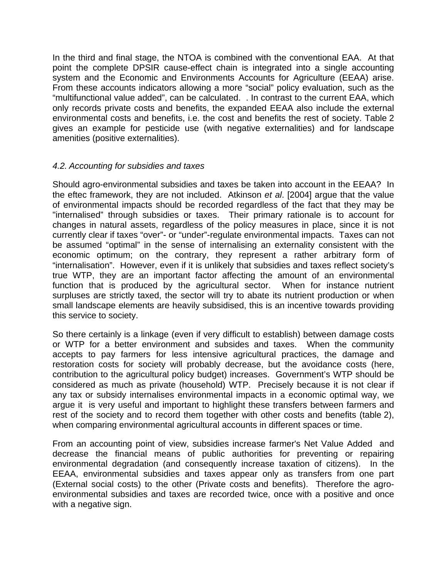In the third and final stage, the NTOA is combined with the conventional EAA. At that point the complete DPSIR cause-effect chain is integrated into a single accounting system and the Economic and Environments Accounts for Agriculture (EEAA) arise. From these accounts indicators allowing a more "social" policy evaluation, such as the "multifunctional value added", can be calculated. . In contrast to the current EAA, which only records private costs and benefits, the expanded EEAA also include the external environmental costs and benefits, i.e. the cost and benefits the rest of society. Table 2 gives an example for pesticide use (with negative externalities) and for landscape amenities (positive externalities).

#### *4.2. Accounting for subsidies and taxes*

Should agro-environmental subsidies and taxes be taken into account in the EEAA? In the eftec framework, they are not included. Atkinson *et al*. [2004] argue that the value of environmental impacts should be recorded regardless of the fact that they may be "internalised" through subsidies or taxes. Their primary rationale is to account for changes in natural assets, regardless of the policy measures in place, since it is not currently clear if taxes "over"- or "under"-regulate environmental impacts. Taxes can not be assumed "optimal" in the sense of internalising an externality consistent with the economic optimum; on the contrary, they represent a rather arbitrary form of "internalisation". However, even if it is unlikely that subsidies and taxes reflect society's true WTP, they are an important factor affecting the amount of an environmental function that is produced by the agricultural sector. When for instance nutrient surpluses are strictly taxed, the sector will try to abate its nutrient production or when small landscape elements are heavily subsidised, this is an incentive towards providing this service to society.

So there certainly is a linkage (even if very difficult to establish) between damage costs or WTP for a better environment and subsides and taxes. When the community accepts to pay farmers for less intensive agricultural practices, the damage and restoration costs for society will probably decrease, but the avoidance costs (here, contribution to the agricultural policy budget) increases. Government's WTP should be considered as much as private (household) WTP. Precisely because it is not clear if any tax or subsidy internalises environmental impacts in a economic optimal way, we argue it is very useful and important to highlight these transfers between farmers and rest of the society and to record them together with other costs and benefits (table 2), when comparing environmental agricultural accounts in different spaces or time.

From an accounting point of view, subsidies increase farmer's Net Value Added and decrease the financial means of public authorities for preventing or repairing environmental degradation (and consequently increase taxation of citizens). In the EEAA, environmental subsidies and taxes appear only as transfers from one part (External social costs) to the other (Private costs and benefits). Therefore the agroenvironmental subsidies and taxes are recorded twice, once with a positive and once with a negative sign.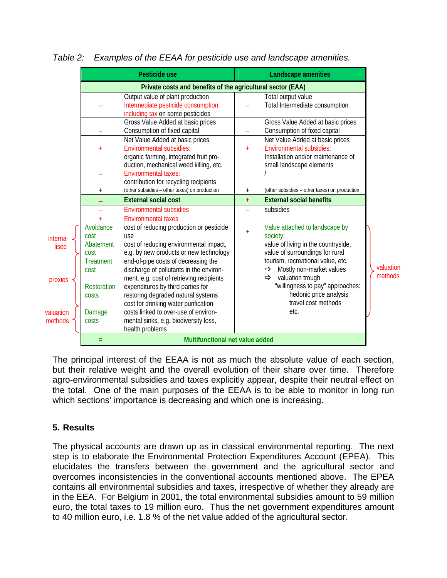|                                                     | Pesticide use                                                                                                 |                                                                                                                                                                                                                                                                                                                                                                                                                                                                                          |           | Landscape amenities                                                                                                                                                                                                                                                                                                                      |                      |  |
|-----------------------------------------------------|---------------------------------------------------------------------------------------------------------------|------------------------------------------------------------------------------------------------------------------------------------------------------------------------------------------------------------------------------------------------------------------------------------------------------------------------------------------------------------------------------------------------------------------------------------------------------------------------------------------|-----------|------------------------------------------------------------------------------------------------------------------------------------------------------------------------------------------------------------------------------------------------------------------------------------------------------------------------------------------|----------------------|--|
|                                                     | Private costs and benefits of the agricultural sector (EAA)                                                   |                                                                                                                                                                                                                                                                                                                                                                                                                                                                                          |           |                                                                                                                                                                                                                                                                                                                                          |                      |  |
|                                                     |                                                                                                               | Output value of plant production<br>Intermediate pesticide consumption,<br>including tax on some pesticides                                                                                                                                                                                                                                                                                                                                                                              |           | Total output value<br>Total Intermediate consumption                                                                                                                                                                                                                                                                                     |                      |  |
|                                                     |                                                                                                               | Gross Value Added at basic prices<br>Consumption of fixed capital                                                                                                                                                                                                                                                                                                                                                                                                                        |           | Gross Value Added at basic prices<br>Consumption of fixed capital                                                                                                                                                                                                                                                                        |                      |  |
|                                                     | $+$                                                                                                           | Net Value Added at basic prices<br><b>Environmental subsidies:</b><br>organic farming, integrated fruit pro-                                                                                                                                                                                                                                                                                                                                                                             | $\ddot{}$ | Net Value Added at basic prices<br><b>Environmental subsidies:</b><br>Installation and/or maintenance of                                                                                                                                                                                                                                 |                      |  |
|                                                     |                                                                                                               | duction, mechanical weed killing, etc.<br><b>Environmental taxes:</b><br>contribution for recycling recipients                                                                                                                                                                                                                                                                                                                                                                           |           | small landscape elements                                                                                                                                                                                                                                                                                                                 |                      |  |
|                                                     | $^{+}$                                                                                                        | (other subsidies - other taxes) on production                                                                                                                                                                                                                                                                                                                                                                                                                                            | $^{+}$    | (other subsidies - other taxes) on production                                                                                                                                                                                                                                                                                            |                      |  |
|                                                     |                                                                                                               | <b>External social cost</b>                                                                                                                                                                                                                                                                                                                                                                                                                                                              | $+$       | <b>External social benefits</b>                                                                                                                                                                                                                                                                                                          |                      |  |
|                                                     |                                                                                                               | <b>Environmental subsidies</b><br><b>Environmental taxes</b>                                                                                                                                                                                                                                                                                                                                                                                                                             |           | subsidies                                                                                                                                                                                                                                                                                                                                |                      |  |
| interna<br>lised<br>proxies<br>valuation<br>methods | Avoidance<br>cost<br>Abatement<br>cost<br><b>Treatment</b><br>cost<br>Restoration<br>costs<br>Damage<br>costs | cost of reducing production or pesticide<br>use<br>cost of reducing environmental impact,<br>e.g. by new products or new technology<br>end-of-pipe costs of decreasing the<br>discharge of pollutants in the environ-<br>ment, e.g. cost of retrieving recipients<br>expenditures by third parties for<br>restoring degraded natural systems<br>cost for drinking water purification<br>costs linked to over-use of environ-<br>mental sinks, e.g. biodiversity loss,<br>health problems | $\ddot{}$ | Value attached to landscape by<br>society:<br>value of living in the countryside,<br>value of surroundings for rural<br>tourism, recreational value, etc.<br>Mostly non-market values<br>$\Rightarrow$<br>valuation trough<br>$\Rightarrow$<br>"willingness to pay" approaches:<br>hedonic price analysis<br>travel cost methods<br>etc. | valuation<br>methods |  |
|                                                     | Ξ                                                                                                             | Multifunctional net value added                                                                                                                                                                                                                                                                                                                                                                                                                                                          |           |                                                                                                                                                                                                                                                                                                                                          |                      |  |

*Table 2: Examples of the EEAA for pesticide use and landscape amenities.* 

The principal interest of the EEAA is not as much the absolute value of each section, but their relative weight and the overall evolution of their share over time. Therefore agro-environmental subsidies and taxes explicitly appear, despite their neutral effect on the total. One of the main purposes of the EEAA is to be able to monitor in long run which sections' importance is decreasing and which one is increasing.

### **5. Results**

The physical accounts are drawn up as in classical environmental reporting. The next step is to elaborate the Environmental Protection Expenditures Account (EPEA). This elucidates the transfers between the government and the agricultural sector and overcomes inconsistencies in the conventional accounts mentioned above. The EPEA contains all environmental subsidies and taxes, irrespective of whether they already are in the EEA. For Belgium in 2001, the total environmental subsidies amount to 59 million euro, the total taxes to 19 million euro. Thus the net government expenditures amount to 40 million euro, i.e. 1.8 % of the net value added of the agricultural sector.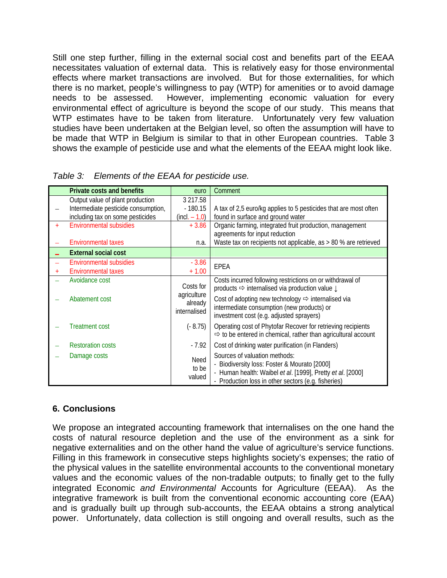Still one step further, filling in the external social cost and benefits part of the EEAA necessitates valuation of external data. This is relatively easy for those environmental effects where market transactions are involved. But for those externalities, for which there is no market, people's willingness to pay (WTP) for amenities or to avoid damage needs to be assessed. However, implementing economic valuation for every environmental effect of agriculture is beyond the scope of our study. This means that WTP estimates have to be taken from literature. Unfortunately very few valuation studies have been undertaken at the Belgian level, so often the assumption will have to be made that WTP in Belgium is similar to that in other European countries. Table 3 shows the example of pesticide use and what the elements of the EEAA might look like.

|     | <b>Private costs and benefits</b>   | euro             | Comment                                                                   |
|-----|-------------------------------------|------------------|---------------------------------------------------------------------------|
|     | Output value of plant production    | 3 217.58         |                                                                           |
|     | Intermediate pesticide consumption, | $-180.15$        | A tax of 2,5 euro/kg applies to 5 pesticides that are most often          |
|     | including tax on some pesticides    | $(incl. - 1, 0)$ | found in surface and ground water                                         |
| $+$ | <b>Environmental subsidies</b>      | $+3.86$          | Organic farming, integrated fruit production, management                  |
|     |                                     |                  | agreements for input reduction                                            |
|     | <b>Environmental taxes</b>          | n.a.             | Waste tax on recipients not applicable, as > 80 % are retrieved           |
|     | <b>External social cost</b>         |                  |                                                                           |
|     | <b>Environmental subsidies</b>      | $-3.86$          | <b>EPEA</b>                                                               |
|     | <b>Environmental taxes</b>          | $+1.00$          |                                                                           |
|     | Avoidance cost                      |                  | Costs incurred following restrictions on or withdrawal of                 |
|     |                                     | Costs for        | products ⇒ internalised via production value ↓                            |
|     | Abatement cost                      | agriculture      | Cost of adopting new technology $\Rightarrow$ internalised via            |
|     |                                     | already          | intermediate consumption (new products) or                                |
|     |                                     | internalised     | investment cost (e.g. adjusted sprayers)                                  |
|     | <b>Treatment cost</b>               | $(-8.75)$        | Operating cost of Phytofar Recover for retrieving recipients              |
|     |                                     |                  | $\Rightarrow$ to be entered in chemical, rather than agricultural account |
|     | <b>Restoration costs</b>            | $-7.92$          | Cost of drinking water purification (in Flanders)                         |
|     |                                     |                  |                                                                           |
|     | Damage costs                        | Need             | Sources of valuation methods:                                             |
|     |                                     | to be            | - Biodiversity loss: Foster & Mourato [2000]                              |
|     |                                     | valued           | - Human health: Waibel et al. [1999], Pretty et al. [2000]                |
|     |                                     |                  | - Production loss in other sectors (e.g. fisheries)                       |

## **6. Conclusions**

We propose an integrated accounting framework that internalises on the one hand the costs of natural resource depletion and the use of the environment as a sink for negative externalities and on the other hand the value of agriculture's service functions. Filling in this framework in consecutive steps highlights society's expenses; the ratio of the physical values in the satellite environmental accounts to the conventional monetary values and the economic values of the non-tradable outputs; to finally get to the fully integrated Economic *and Environmental* Accounts for Agriculture (EEAA). As the integrative framework is built from the conventional economic accounting core (EAA) and is gradually built up through sub-accounts, the EEAA obtains a strong analytical power. Unfortunately, data collection is still ongoing and overall results, such as the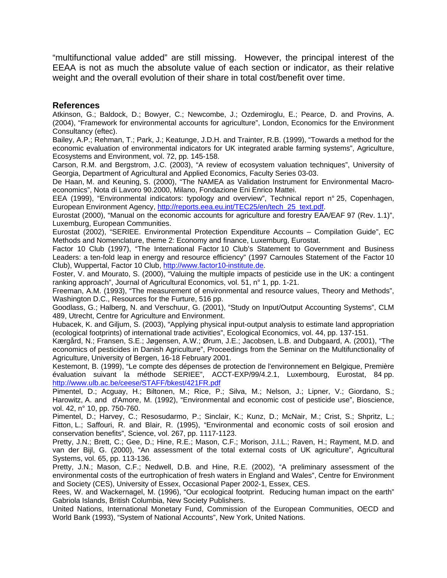"multifunctional value added" are still missing. However, the principal interest of the EEAA is not as much the absolute value of each section or indicator, as their relative weight and the overall evolution of their share in total cost/benefit over time.

#### **References**

Atkinson, G.; Baldock, D.; Bowyer, C.; Newcombe, J.; Ozdemiroglu, E.; Pearce, D. and Provins, A. (2004), "Framework for environmental accounts for agriculture", London, Economics for the Environment Consultancy (eftec).

Bailey, A.P.; Rehman, T.; Park, J.; Keatunge, J.D.H. and Trainter, R.B. (1999), "Towards a method for the economic evaluation of environmental indicators for UK integrated arable farming systems", Agriculture, Ecosystems and Environment, vol. 72, pp. 145-158.

Carson, R.M. and Bergstrom, J.C. (2003), "A review of ecosystem valuation techniques", University of Georgia, Department of Agricultural and Applied Economics, Faculty Series 03-03.

De Haan, M. and Keuning, S. (2000), "The NAMEA as Validation Instrument for Environmental Macroeconomics", Nota di Lavoro 90.2000, Milano, Fondazione Eni Enrico Mattei.

EEA (1999), "Environmental indicators: typology and overview", Technical report n° 25, Copenhagen, European Environment Agency, http://reports.eea.eu.int/TEC25/en/tech\_25\_text.pdf.

Eurostat (2000), "Manual on the economic accounts for agriculture and forestry EAA/EAF 97 (Rev. 1.1)", Luxemburg, European Communities.

Eurostat (2002), "SERIEE. Environmental Protection Expenditure Accounts – Compilation Guide", EC Methods and Nomenclature, theme 2: Economy and finance, Luxemburg, Eurostat.

Factor 10 Club (1997), "The International Factor 10 Club's Statement to Government and Business Leaders: a ten-fold leap in energy and resource efficiency" (1997 Carnoules Statement of the Factor 10 Club), Wuppertal, Factor 10 Club, http://www.factor10-institute.de.

Foster, V. and Mourato, S. (2000), "Valuing the multiple impacts of pesticide use in the UK: a contingent ranking approach", Journal of Agricultural Economics, vol. 51, n° 1, pp. 1-21.

Freeman, A.M. (1993), "The measurement of environmental and resource values, Theory and Methods", Washington D.C., Resources for the Furture, 516 pp.

Goodlass, G.; Halberg, N. and Verschuur, G. (2001), "Study on Input/Output Accounting Systems", CLM 489, Utrecht, Centre for Agriculture and Environment.

Hubacek, K. and Giljum, S. (2003), "Applying physical input-output analysis to estimate land appropriation (ecological footprints) of international trade activities", Ecological Economics, vol. 44, pp. 137-151.

Kærgård, N.; Fransen, S.E.; Jøgensen, A.W.; Ørum, J.E.; Jacobsen, L.B. and Dubgaard, A. (2001), "The economics of pesticides in Danish Agriculture", Proceedings from the Seminar on the Multifunctionality of Agriculture, University of Bergen, 16-18 February 2001.

Kestemont, B. (1999), "Le compte des dépenses de protection de l'environnement en Belgique, Première évaluation suivant la méthode SERIEE", ACCT-EXP/99/4.2.1, Luxembourg, Eurostat, 84 pp. http://www.ulb.ac.be/ceese/STAFF/bkest/421FR.pdf

Pimentel, D.; Acguay, H.; Biltonen, M.; Rice, P.; Silva, M.; Nelson, J.; Lipner, V.; Giordano, S.; Harowitz, A. and d'Amore, M. (1992), "Environmental and economic cost of pesticide use", Bioscience, vol. 42, n° 10, pp. 750-760.

Pimentel, D.; Harvey, C.; Resosudarmo, P.; Sinclair, K.; Kunz, D.; McNair, M.; Crist, S.; Shpritz, L.; Fitton, L.; Saffouri, R. and Blair, R. (1995), "Environmental and economic costs of soil erosion and conservation benefits", Science, vol. 267, pp. 1117-1123.

Pretty, J.N.; Brett, C.; Gee, D.; Hine, R.E.; Mason, C.F.; Morison, J.I.L.; Raven, H.; Rayment, M.D. and van der Bijl, G. (2000), "An assessment of the total external costs of UK agriculture", Agricultural Systems, vol. 65, pp. 113-136.

Pretty, J.N.; Mason, C.F.; Nedwell, D.B. and Hine, R.E. (2002), "A preliminary assessment of the environmental costs of the eurtrophication of fresh waters in England and Wales", Centre for Environment and Society (CES), University of Essex, Occasional Paper 2002-1, Essex, CES.

Rees, W. and Wackernagel, M. (1996), "Our ecological footprint. Reducing human impact on the earth" Gabriola Islands, British Columbia, New Society Publishers.

United Nations, International Monetary Fund, Commission of the European Communities, OECD and World Bank (1993), "System of National Accounts", New York, United Nations.